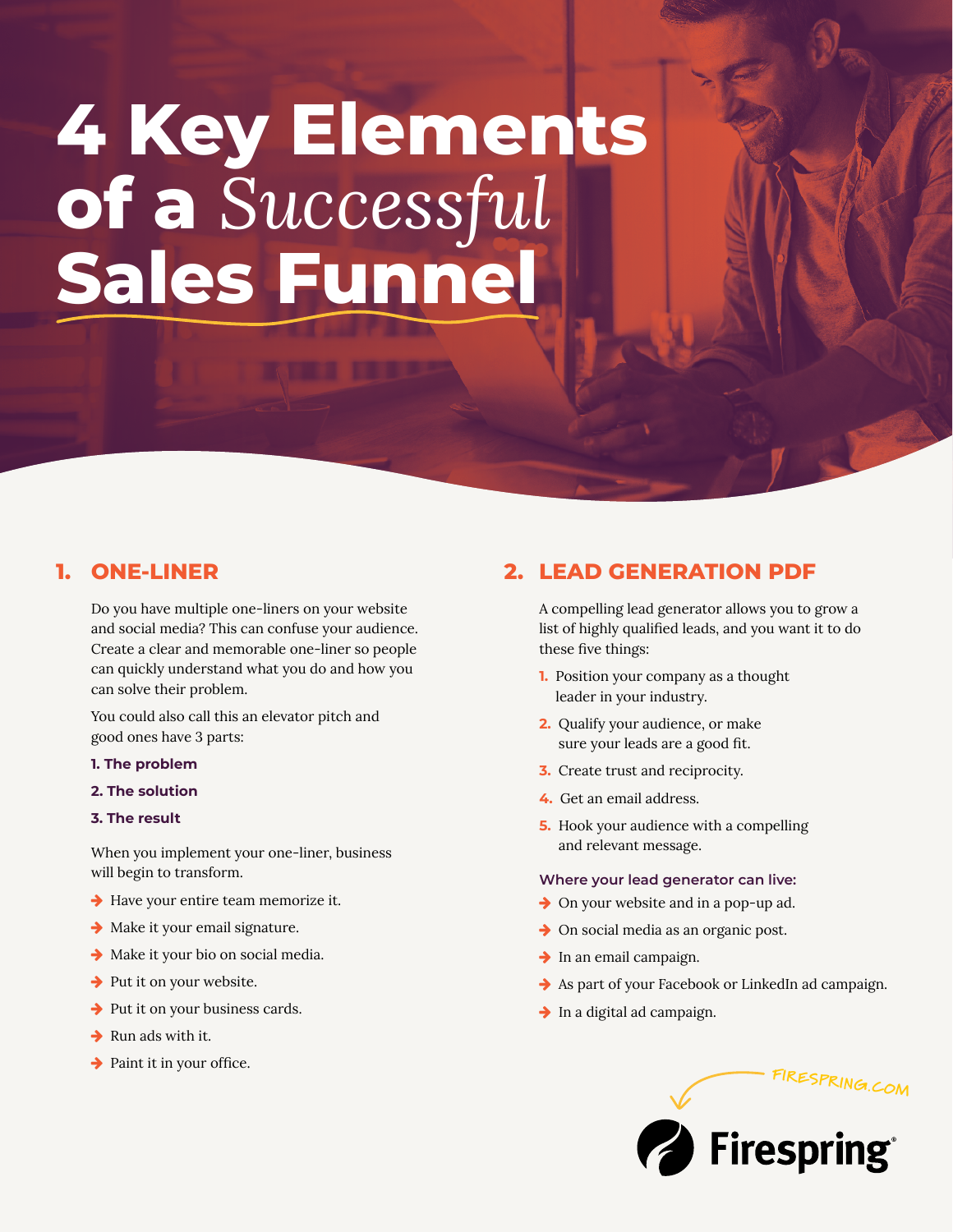# **4 Key Elements of a** *Successful* **Sales Funnel**

## **1. ONE-LINER**

Do you have multiple one-liners on your website and social media? This can confuse your audience. Create a clear and memorable one-liner so people can quickly understand what you do and how you can solve their problem.

You could also call this an elevator pitch and good ones have 3 parts:

- **1. The problem**
- **2. The solution**

#### **3. The result**

When you implement your one-liner, business will begin to transform.

- $\rightarrow$  Have your entire team memorize it.
- $\rightarrow$  Make it your email signature.
- $\rightarrow$  Make it your bio on social media.
- $\rightarrow$  Put it on your website.
- $\rightarrow$  Put it on your business cards.
- $\rightarrow$  Run ads with it.
- $\rightarrow$  Paint it in your office.

# **2. LEAD GENERATION PDF**

A compelling lead generator allows you to grow a list of highly qualified leads, and you want it to do these five things:

- **1.** Position your company as a thought leader in your industry.
- **2.** Qualify your audience, or make sure your leads are a good fit.
- **3.** Create trust and reciprocity.
- **4.** Get an email address.
- **5.** Hook your audience with a compelling and relevant message.

#### **Where your lead generator can live:**

- $\rightarrow$  On your website and in a pop-up ad.
- $\rightarrow$  On social media as an organic post.
- $\rightarrow$  In an email campaign.
- $\rightarrow$  As part of your Facebook or LinkedIn ad campaign.
- $\rightarrow$  In a digital ad campaign.